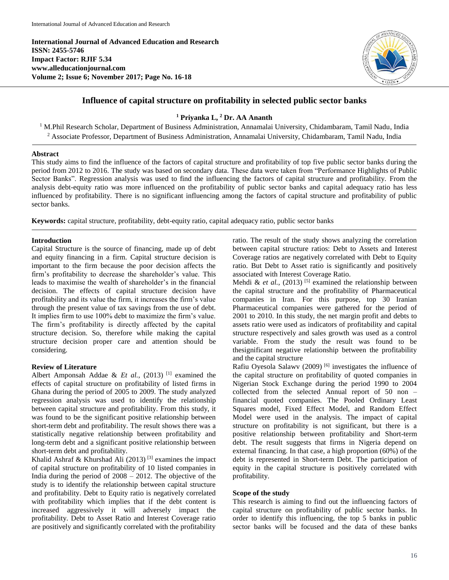**International Journal of Advanced Education and Research ISSN: 2455-5746 Impact Factor: RJIF 5.34 www.alleducationjournal.com Volume 2; Issue 6; November 2017; Page No. 16-18**



# **Influence of capital structure on profitability in selected public sector banks**

**<sup>1</sup> Priyanka L, <sup>2</sup> Dr. AA Ananth**

<sup>1</sup> M.Phil Research Scholar, Department of Business Administration, Annamalai University, Chidambaram, Tamil Nadu, India <sup>2</sup> Associate Professor, Department of Business Administration, Annamalai University, Chidambaram, Tamil Nadu, India

#### **Abstract**

This study aims to find the influence of the factors of capital structure and profitability of top five public sector banks during the period from 2012 to 2016. The study was based on secondary data. These data were taken from "Performance Highlights of Public Sector Banks". Regression analysis was used to find the influencing the factors of capital structure and profitability. From the analysis debt-equity ratio was more influenced on the profitability of public sector banks and capital adequacy ratio has less influenced by profitability. There is no significant influencing among the factors of capital structure and profitability of public sector banks.

**Keywords:** capital structure, profitability, debt-equity ratio, capital adequacy ratio, public sector banks

# **Introduction**

Capital Structure is the source of financing, made up of debt and equity financing in a firm. Capital structure decision is important to the firm because the poor decision affects the firm's profitability to decrease the shareholder's value. This leads to maximise the wealth of shareholder's in the financial decision. The effects of capital structure decision have profitability and its value the firm, it increases the firm's value through the present value of tax savings from the use of debt. It implies firm to use 100% debt to maximize the firm's value. The firm's profitability is directly affected by the capital structure decision. So, therefore while making the capital structure decision proper care and attention should be considering.

# **Review of Literature**

Albert Amponsah Addae & *Et al.*, (2013)<sup>[1]</sup> examined the effects of capital structure on profitability of listed firms in Ghana during the period of 2005 to 2009. The study analyzed regression analysis was used to identify the relationship between capital structure and profitability. From this study, it was found to be the significant positive relationship between short-term debt and profitability. The result shows there was a statistically negative relationship between profitability and long-term debt and a significant positive relationship between short-term debt and profitability.

Khalid Ashraf & Khurshad Ali (2013)<sup>[3]</sup> examines the impact of capital structure on profitability of 10 listed companies in India during the period of 2008 – 2012. The objective of the study is to identify the relationship between capital structure and profitability. Debt to Equity ratio is negatively correlated with profitability which implies that if the debt content is increased aggressively it will adversely impact the profitability. Debt to Asset Ratio and Interest Coverage ratio are positively and significantly correlated with the profitability ratio. The result of the study shows analyzing the correlation between capital structure ratios: Debt to Assets and Interest Coverage ratios are negatively correlated with Debt to Equity ratio. But Debt to Asset ratio is significantly and positively associated with Interest Coverage Ratio.

Mehdi & *et al.*,  $(2013)$ <sup>[5]</sup> examined the relationship between the capital structure and the profitability of Pharmaceutical companies in Iran. For this purpose, top 30 Iranian Pharmaceutical companies were gathered for the period of 2001 to 2010. In this study, the net margin profit and debts to assets ratio were used as indicators of profitability and capital structure respectively and sales growth was used as a control variable. From the study the result was found to be thesignificant negative relationship between the profitability and the capital structure

Rafiu Oyesola Salawv (2009) [6] investigates the influence of the capital structure on profitability of quoted companies in Nigerian Stock Exchange during the period 1990 to 2004 collected from the selected Annual report of 50 non – financial quoted companies. The Pooled Ordinary Least Squares model, Fixed Effect Model, and Random Effect Model were used in the analysis. The impact of capital structure on profitability is not significant, but there is a positive relationship between profitability and Short-term debt. The result suggests that firms in Nigeria depend on external financing. In that case, a high proportion (60%) of the debt is represented in Short-term Debt. The participation of equity in the capital structure is positively correlated with profitability.

#### **Scope of the study**

This research is aiming to find out the influencing factors of capital structure on profitability of public sector banks. In order to identify this influencing, the top 5 banks in public sector banks will be focused and the data of these banks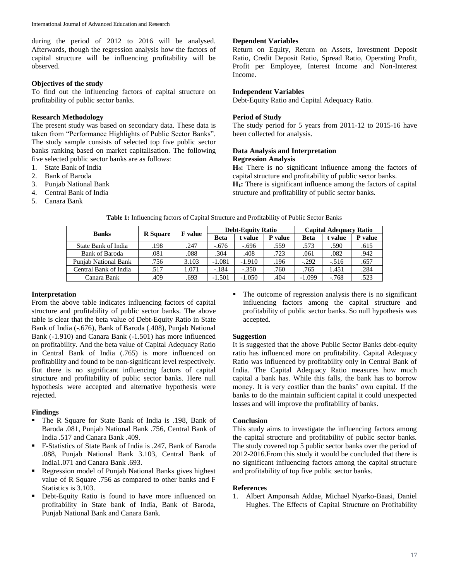during the period of 2012 to 2016 will be analysed. Afterwards, though the regression analysis how the factors of capital structure will be influencing profitability will be observed.

# **Objectives of the study**

To find out the influencing factors of capital structure on profitability of public sector banks.

#### **Research Methodology**

The present study was based on secondary data. These data is taken from "Performance Highlights of Public Sector Banks". The study sample consists of selected top five public sector banks ranking based on market capitalisation. The following five selected public sector banks are as follows:

- 1. State Bank of India
- 2. Bank of Baroda
- 3. Punjab National Bank
- 4. Central Bank of India
- 5. Canara Bank

# **Dependent Variables**

Return on Equity, Return on Assets, Investment Deposit Ratio, Credit Deposit Ratio, Spread Ratio, Operating Profit, Profit per Employee, Interest Income and Non-Interest Income.

#### **Independent Variables**

Debt-Equity Ratio and Capital Adequacy Ratio.

# **Period of Study**

The study period for 5 years from 2011-12 to 2015-16 have been collected for analysis.

### **Data Analysis and Interpretation Regression Analysis**

**H0:** There is no significant influence among the factors of capital structure and profitability of public sector banks. **H1:** There is significant influence among the factors of capital structure and profitability of public sector banks.

| <b>Banks</b>                | <b>R</b> Square | <b>F</b> value | <b>Debt-Equity Ratio</b> |          |                | <b>Capital Adequacy Ratio</b> |         |         |
|-----------------------------|-----------------|----------------|--------------------------|----------|----------------|-------------------------------|---------|---------|
|                             |                 |                | <b>Beta</b>              | t value  | <b>P</b> value | <b>Beta</b>                   | t value | P value |
| State Bank of India         | .198            | .247           | $-.676$                  | -.696    | .559           | .573                          | .590    | .615    |
| Bank of Baroda              | .081            | .088           | .304                     | .408     | .723           | .061                          | .082    | .942    |
| <b>Punjab National Bank</b> | .756            | 3.103          | $-1.081$                 | $-1.910$ | .196           | $-.292$                       | $-.516$ | .657    |
| Central Bank of India       | .517            | .071           | $-.184$                  | $-.350$  | .760           | .765                          | 1.451   | .284    |
| Canara Bank                 | .409            | .693           | $-1.501$                 | $-1.050$ | .404           | $-1.099$                      | $-.768$ | .523    |

**Table 1:** Influencing factors of Capital Structure and Profitability of Public Sector Banks

# **Interpretation**

From the above table indicates influencing factors of capital structure and profitability of public sector banks. The above table is clear that the beta value of Debt-Equity Ratio in State Bank of India (-.676), Bank of Baroda (.408), Punjab National Bank (-1.910) and Canara Bank (-1.501) has more influenced on profitability. And the beta value of Capital Adequacy Ratio in Central Bank of India (.765) is more influenced on profitability and found to be non-significant level respectively. But there is no significant influencing factors of capital structure and profitability of public sector banks. Here null hypothesis were accepted and alternative hypothesis were rejected.

#### **Findings**

- The R Square for State Bank of India is .198, Bank of Baroda .081, Punjab National Bank .756, Central Bank of India .517 and Canara Bank .409.
- F-Statistics of State Bank of India is .247, Bank of Baroda .088, Punjab National Bank 3.103, Central Bank of India1.071 and Canara Bank .693.
- Regression model of Punjab National Banks gives highest value of R Square .756 as compared to other banks and F Statistics is 3.103.
- Debt-Equity Ratio is found to have more influenced on profitability in State bank of India, Bank of Baroda, Punjab National Bank and Canara Bank.

 The outcome of regression analysis there is no significant influencing factors among the capital structure and profitability of public sector banks. So null hypothesis was accepted.

#### **Suggestion**

It is suggested that the above Public Sector Banks debt-equity ratio has influenced more on profitability. Capital Adequacy Ratio was influenced by profitability only in Central Bank of India. The Capital Adequacy Ratio measures how much capital a bank has. While this falls, the bank has to borrow money. It is very costlier than the banks' own capital. If the banks to do the maintain sufficient capital it could unexpected losses and will improve the profitability of banks.

#### **Conclusion**

This study aims to investigate the influencing factors among the capital structure and profitability of public sector banks. The study covered top 5 public sector banks over the period of 2012-2016.From this study it would be concluded that there is no significant influencing factors among the capital structure and profitability of top five public sector banks.

### **References**

1. Albert Amponsah Addae, Michael Nyarko-Baasi, Daniel Hughes. The Effects of Capital Structure on Profitability